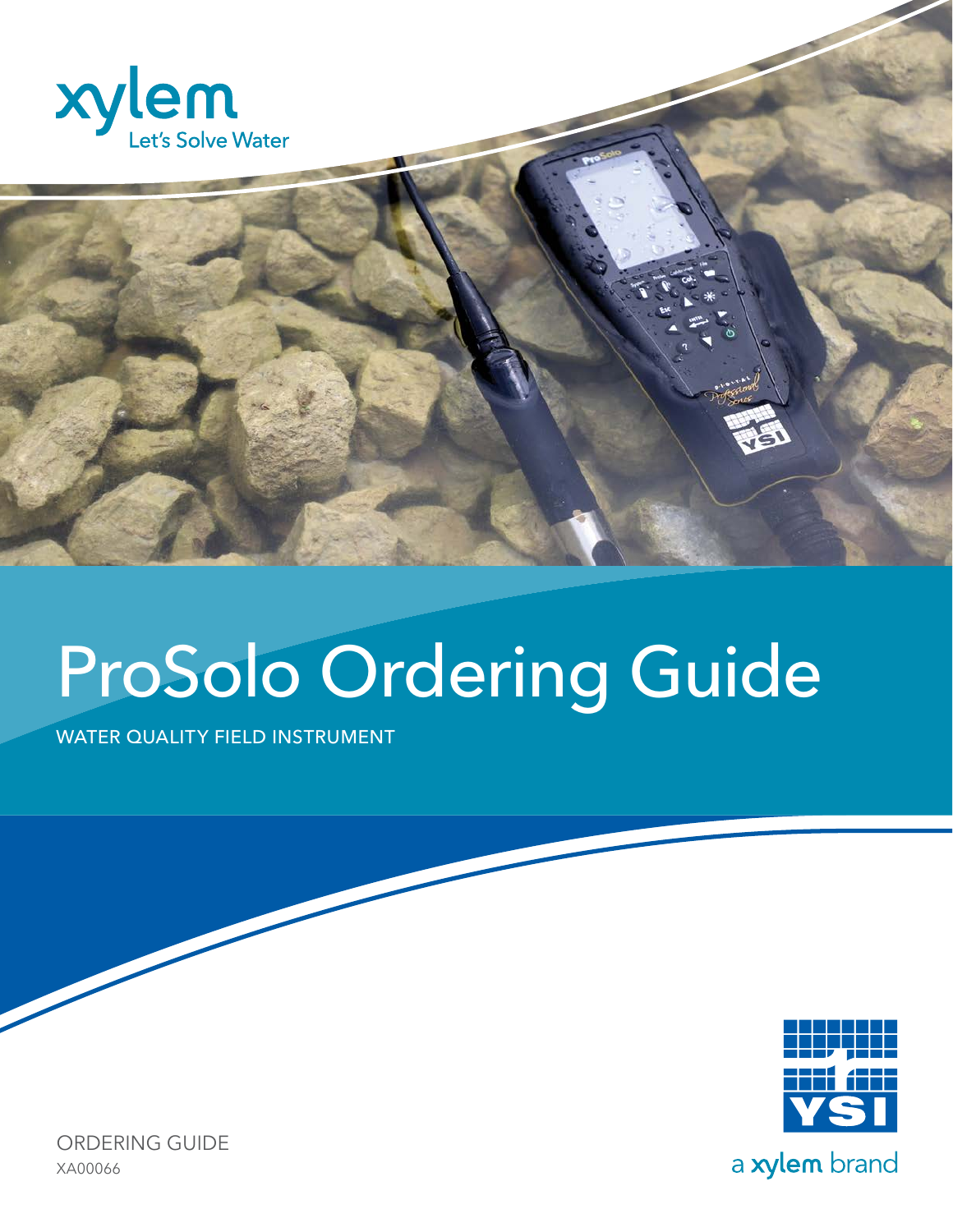



# ProSolo Ordering Guide

WATER QUALITY FIELD INSTRUMENT



ORDERING GUIDE XA00066

a xylem brand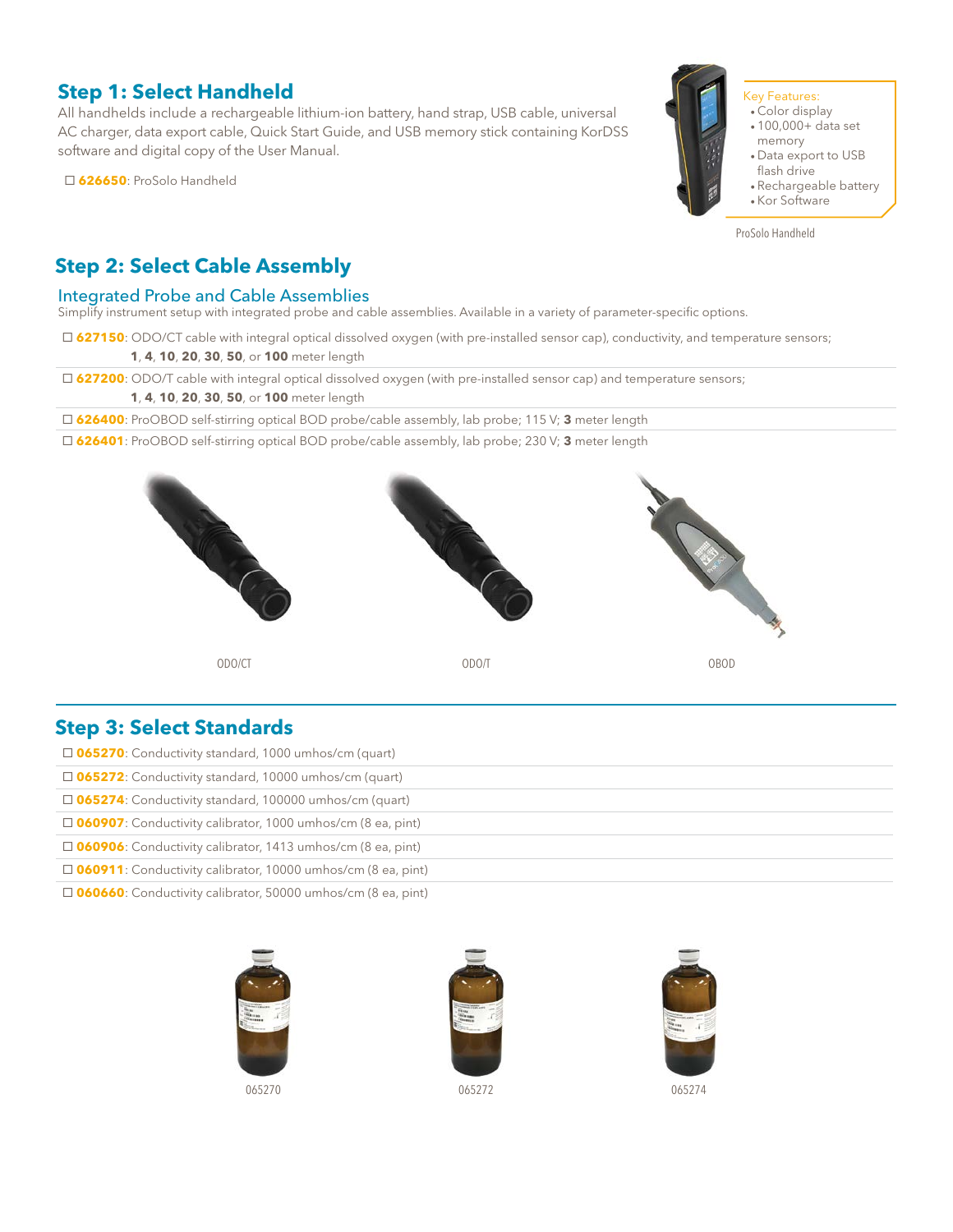## **Step 1: Select Handheld**

All handhelds include a rechargeable lithium-ion battery, hand strap, USB cable, universal AC charger, data export cable, Quick Start Guide, and USB memory stick containing KorDSS software and digital copy of the User Manual.

**626650**: ProSolo Handheld



#### Key Features:

- Color display
- 100,000+ data set memory
- Data export to USB
- flash drive • Rechargeable battery
- Kor Software
- 

ProSolo Handheld

## **Step 2: Select Cable Assembly**

#### Integrated Probe and Cable Assemblies

Simplify instrument setup with integrated probe and cable assemblies. Available in a variety of parameter-specific options.

**627150**: ODO/CT cable with integral optical dissolved oxygen (with pre-installed sensor cap), conductivity, and temperature sensors;

**1**, **4**, **10**, **20**, **30**, **50**, or **100** meter length

**627200**: ODO/T cable with integral optical dissolved oxygen (with pre-installed sensor cap) and temperature sensors;

**1**, **4**, **10**, **20**, **30**, **50**, or **100** meter length

**626400**: ProOBOD self-stirring optical BOD probe/cable assembly, lab probe; 115 V; **3** meter length

**626401**: ProOBOD self-stirring optical BOD probe/cable assembly, lab probe; 230 V; **3** meter length



## **Step 3: Select Standards**

| $\Box$ 065270: Conductivity standard, 1000 umhos/cm (quart)         |
|---------------------------------------------------------------------|
| $\Box$ 065272: Conductivity standard, 10000 umhos/cm (quart)        |
| $\Box$ 065274: Conductivity standard, 100000 umhos/cm (quart)       |
| $\Box$ 060907: Conductivity calibrator, 1000 umhos/cm (8 ea, pint)  |
| $\Box$ 060906: Conductivity calibrator, 1413 umhos/cm (8 ea, pint)  |
| $\Box$ 060911: Conductivity calibrator, 10000 umhos/cm (8 ea, pint) |
|                                                                     |

**060660**: Conductivity calibrator, 50000 umhos/cm (8 ea, pint)





065270 065272 065274

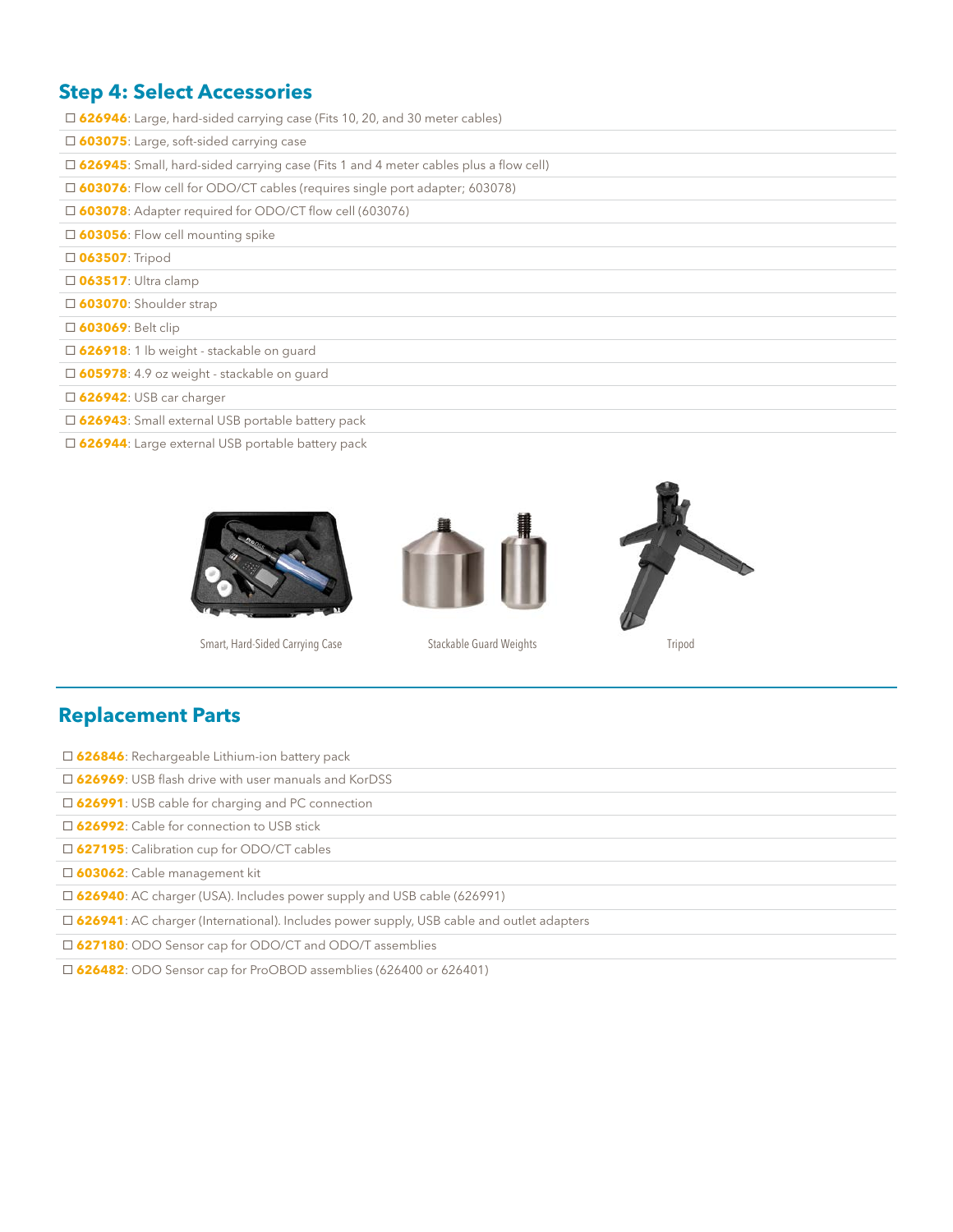## **Step 4: Select Accessories**

**626946**: Large, hard-sided carrying case (Fits 10, 20, and 30 meter cables)

**603075**: Large, soft-sided carrying case

**626945**: Small, hard-sided carrying case (Fits 1 and 4 meter cables plus a flow cell)

**603076**: Flow cell for ODO/CT cables (requires single port adapter; 603078)

**603078**: Adapter required for ODO/CT flow cell (603076)

**603056**: Flow cell mounting spike

**063507**: Tripod

**063517**: Ultra clamp

**603070**: Shoulder strap

**603069**: Belt clip

**626918**: 1 lb weight - stackable on guard

**605978**: 4.9 oz weight - stackable on guard

**626942**: USB car charger

**626943**: Small external USB portable battery pack

**626944**: Large external USB portable battery pack



Smart, Hard-Sided Carrying Case Stackable Guard Weights Tripod





### **Replacement Parts**

**626846**: Rechargeable Lithium-ion battery pack

**626969**: USB flash drive with user manuals and KorDSS

**626991**: USB cable for charging and PC connection

**626992**: Cable for connection to USB stick

**627195**: Calibration cup for ODO/CT cables

**603062**: Cable management kit

**626940**: AC charger (USA). Includes power supply and USB cable (626991)

**626941**: AC charger (International). Includes power supply, USB cable and outlet adapters

**627180**: ODO Sensor cap for ODO/CT and ODO/T assemblies

**626482**: ODO Sensor cap for ProOBOD assemblies (626400 or 626401)